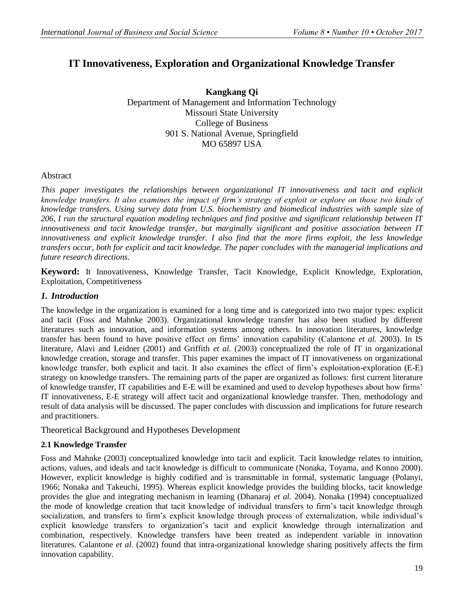# **IT Innovativeness, Exploration and Organizational Knowledge Transfer**

**Kangkang Qi** Department of Management and Information Technology Missouri State University College of Business 901 S. National Avenue, Springfield MO 65897 USA

### Abstract

*This paper investigates the relationships between organizational IT innovativeness and tacit and explicit knowledge transfers. It also examines the impact of firm's strategy of exploit or explore on those two kinds of knowledge transfers. Using survey data from U.S. biochemistry and biomedical industries with sample size of 206, I run the structural equation modeling techniques and find positive and significant relationship between IT innovativeness and tacit knowledge transfer, but marginally significant and positive association between IT innovativeness and explicit knowledge transfer. I also find that the more firms exploit, the less knowledge transfers occur, both for explicit and tacit knowledge. The paper concludes with the managerial implications and future research directions.*

**Keyword:** It Innovativeness, Knowledge Transfer, Tacit Knowledge, Explicit Knowledge, Exploration, Exploitation, Competitiveness

### *1. Introduction*

The knowledge in the organization is examined for a long time and is categorized into two major types: explicit and tacit (Foss and Mahnke 2003). Organizational knowledge transfer has also been studied by different literatures such as innovation, and information systems among others. In innovation literatures, knowledge transfer has been found to have positive effect on firms' innovation capability (Calantone *et al.* 2003). In IS literature, Alavi and Leidner (2001) and Griffith *et al.* (2003) conceptualized the role of IT in organizational knowledge creation, storage and transfer. This paper examines the impact of IT innovativeness on organizational knowledge transfer, both explicit and tacit. It also examines the effect of firm's exploitation-exploration (E-E) strategy on knowledge transfers. The remaining parts of the paper are organized as follows: first current literature of knowledge transfer, IT capabilities and E-E will be examined and used to develop hypotheses about how firms' IT innovativeness, E-E strategy will affect tacit and organizational knowledge transfer. Then, methodology and result of data analysis will be discussed. The paper concludes with discussion and implications for future research and practitioners.

Theoretical Background and Hypotheses Development

### **2.1 Knowledge Transfer**

Foss and Mahnke (2003) conceptualized knowledge into tacit and explicit. Tacit knowledge relates to intuition, actions, values, and ideals and tacit knowledge is difficult to communicate (Nonaka, Toyama, and Konno 2000). However, explicit knowledge is highly codified and is transmittable in formal, systematic language (Polanyi, 1966; Nonaka and Takeuchi, 1995). Whereas explicit knowledge provides the building blocks, tacit knowledge provides the glue and integrating mechanism in learning (Dhanaraj *et al.* 2004). Nonaka (1994) conceptualized the mode of knowledge creation that tacit knowledge of individual transfers to firm's tacit knowledge through socialization, and transfers to firm's explicit knowledge through process of externalization, while individual's explicit knowledge transfers to organization's tacit and explicit knowledge through internalization and combination, respectively. Knowledge transfers have been treated as independent variable in innovation literatures. Calantone *et al.* (2002) found that intra-organizational knowledge sharing positively affects the firm innovation capability.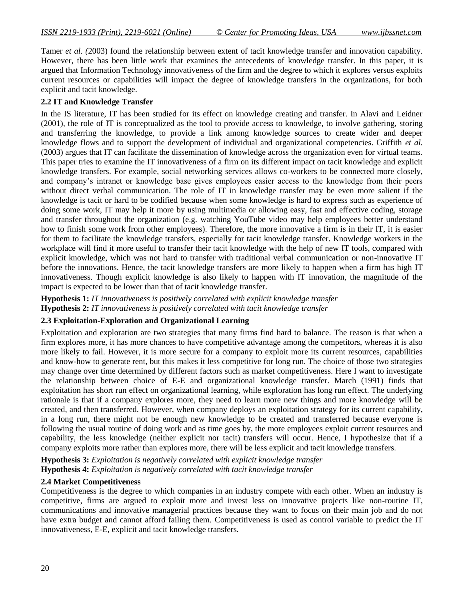Tamer *et al. (*2003) found the relationship between extent of tacit knowledge transfer and innovation capability. However, there has been little work that examines the antecedents of knowledge transfer. In this paper, it is argued that Information Technology innovativeness of the firm and the degree to which it explores versus exploits current resources or capabilities will impact the degree of knowledge transfers in the organizations, for both explicit and tacit knowledge.

# **2.2 IT and Knowledge Transfer**

In the IS literature, IT has been studied for its effect on knowledge creating and transfer. In Alavi and Leidner (2001), the role of IT is conceptualized as the tool to provide access to knowledge, to involve gathering, storing and transferring the knowledge, to provide a link among knowledge sources to create wider and deeper knowledge flows and to support the development of individual and organizational competencies. Griffith *et al.*  (2003) argues that IT can facilitate the dissemination of knowledge across the organization even for virtual teams. This paper tries to examine the IT innovativeness of a firm on its different impact on tacit knowledge and explicit knowledge transfers. For example, social networking services allows co-workers to be connected more closely, and company's intranet or knowledge base gives employees easier access to the knowledge from their peers without direct verbal communication. The role of IT in knowledge transfer may be even more salient if the knowledge is tacit or hard to be codified because when some knowledge is hard to express such as experience of doing some work, IT may help it more by using multimedia or allowing easy, fast and effective coding, storage and transfer throughout the organization (e.g. watching YouTube video may help employees better understand how to finish some work from other employees). Therefore, the more innovative a firm is in their IT, it is easier for them to facilitate the knowledge transfers, especially for tacit knowledge transfer. Knowledge workers in the workplace will find it more useful to transfer their tacit knowledge with the help of new IT tools, compared with explicit knowledge, which was not hard to transfer with traditional verbal communication or non-innovative IT before the innovations. Hence, the tacit knowledge transfers are more likely to happen when a firm has high IT innovativeness. Though explicit knowledge is also likely to happen with IT innovation, the magnitude of the impact is expected to be lower than that of tacit knowledge transfer.

**Hypothesis 1:** *IT innovativeness is positively correlated with explicit knowledge transfer* **Hypothesis 2:** *IT innovativeness is positively correlated with tacit knowledge transfer*

# **2.3 Exploitation-Exploration and Organizational Learning**

Exploitation and exploration are two strategies that many firms find hard to balance. The reason is that when a firm explores more, it has more chances to have competitive advantage among the competitors, whereas it is also more likely to fail. However, it is more secure for a company to exploit more its current resources, capabilities and know-how to generate rent, but this makes it less competitive for long run. The choice of those two strategies may change over time determined by different factors such as market competitiveness. Here I want to investigate the relationship between choice of E-E and organizational knowledge transfer. March (1991) finds that exploitation has short run effect on organizational learning, while exploration has long run effect. The underlying rationale is that if a company explores more, they need to learn more new things and more knowledge will be created, and then transferred. However, when company deploys an exploitation strategy for its current capability, in a long run, there might not be enough new knowledge to be created and transferred because everyone is following the usual routine of doing work and as time goes by, the more employees exploit current resources and capability, the less knowledge (neither explicit nor tacit) transfers will occur. Hence, I hypothesize that if a company exploits more rather than explores more, there will be less explicit and tacit knowledge transfers.

**Hypothesis 3:** *Exploitation is negatively correlated with explicit knowledge transfer* **Hypothesis 4:** *Exploitation is negatively correlated with tacit knowledge transfer*

# **2.4 Market Competitiveness**

Competitiveness is the degree to which companies in an industry compete with each other. When an industry is competitive, firms are argued to exploit more and invest less on innovative projects like non-routine IT, communications and innovative managerial practices because they want to focus on their main job and do not have extra budget and cannot afford failing them. Competitiveness is used as control variable to predict the IT innovativeness, E-E, explicit and tacit knowledge transfers.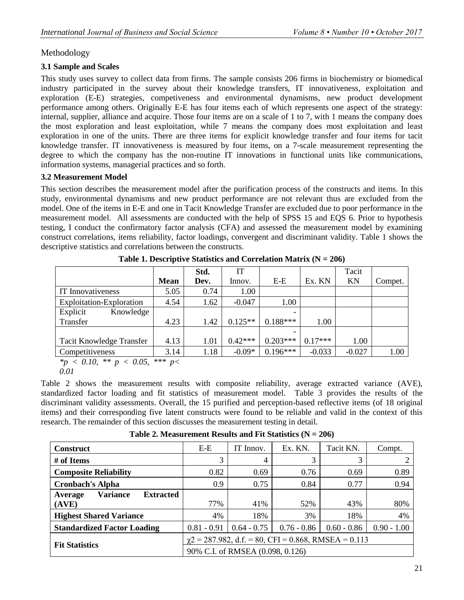# Methodology

# **3.1 Sample and Scales**

This study uses survey to collect data from firms. The sample consists 206 firms in biochemistry or biomedical industry participated in the survey about their knowledge transfers, IT innovativeness, exploitation and exploration (E-E) strategies, competiveness and environmental dynamisms, new product development performance among others. Originally E-E has four items each of which represents one aspect of the strategy: internal, supplier, alliance and acquire. Those four items are on a scale of 1 to 7, with 1 means the company does the most exploration and least exploitation, while 7 means the company does most exploitation and least exploration in one of the units. There are three items for explicit knowledge transfer and four items for tacit knowledge transfer. IT innovativeness is measured by four items, on a 7-scale measurement representing the degree to which the company has the non-routine IT innovations in functional units like communications, information systems, managerial practices and so forth.

### **3.2 Measurement Model**

This section describes the measurement model after the purification process of the constructs and items. In this study, environmental dynamisms and new product performance are not relevant thus are excluded from the model. One of the items in E-E and one in Tacit Knowledge Transfer are excluded due to poor performance in the measurement model. All assessments are conducted with the help of SPSS 15 and EQS 6. Prior to hypothesis testing, I conduct the confirmatory factor analysis (CFA) and assessed the measurement model by examining construct correlations, items reliability, factor loadings, convergent and discriminant validity. Table 1 shows the descriptive statistics and correlations between the constructs.

|                                       |             | Std. | IТ        |                          |           | Tacit    |         |
|---------------------------------------|-------------|------|-----------|--------------------------|-----------|----------|---------|
|                                       | <b>Mean</b> | Dev. | Innov.    | $E-E$                    | Ex. KN    | KN       | Compet. |
| IT Innovativeness                     | 5.05        | 0.74 | 1.00      |                          |           |          |         |
| Exploitation-Exploration              | 4.54        | 1.62 | $-0.047$  | 1.00                     |           |          |         |
| Explicit<br>Knowledge                 |             |      |           | ٠                        |           |          |         |
| Transfer                              | 4.23        | 1.42 | $0.125**$ | $0.188***$               | 1.00      |          |         |
|                                       |             |      |           | $\overline{\phantom{0}}$ |           |          |         |
| <b>Tacit Knowledge Transfer</b>       | 4.13        | 1.01 | $0.42***$ | $0.203***$               | $0.17***$ | 1.00     |         |
| Competitiveness                       | 3.14        | 1.18 | $-0.09*$  | $0.196***$               | $-0.033$  | $-0.027$ | 1.00    |
| ** $p \lt 0.05$ ,<br>0.10,<br>$*_p$ < | ***<br>p<   |      |           |                          |           |          |         |

**Table 1. Descriptive Statistics and Correlation Matrix (N = 206)**

*0.01*

Table 2 shows the measurement results with composite reliability, average extracted variance (AVE), standardized factor loading and fit statistics of measurement model. Table 3 provides the results of the discriminant validity assessments. Overall, the 15 purified and perception-based reflective items (of 18 original items) and their corresponding five latent constructs were found to be reliable and valid in the context of this research. The remainder of this section discusses the measurement testing in detail.

| <b>Construct</b>                               | $E-E$                                                     | IT Innov.     | Ex. KN.       | Tacit KN.     | Compt.        |  |  |
|------------------------------------------------|-----------------------------------------------------------|---------------|---------------|---------------|---------------|--|--|
| # of Items                                     | 3                                                         | 4             | 3             | 3             |               |  |  |
| <b>Composite Reliability</b>                   | 0.82                                                      | 0.69          | 0.76          | 0.69          | 0.89          |  |  |
| <b>Cronbach's Alpha</b>                        | 0.9                                                       | 0.75          | 0.84          | 0.77          | 0.94          |  |  |
| <b>Variance</b><br><b>Extracted</b><br>Average |                                                           |               |               |               |               |  |  |
| (AVE)                                          | 77%                                                       | 41%           | 52%           | 43%           | 80%           |  |  |
| <b>Highest Shared Variance</b>                 | 4%                                                        | 18%           | 3%            | 18%           | 4%            |  |  |
| <b>Standardized Factor Loading</b>             | $0.81 - 0.91$                                             | $0.64 - 0.75$ | $0.76 - 0.86$ | $0.60 - 0.86$ | $0.90 - 1.00$ |  |  |
| <b>Fit Statistics</b>                          | $\chi$ 2 = 287.982, d.f. = 80, CFI = 0.868, RMSEA = 0.113 |               |               |               |               |  |  |
|                                                | 90% C.I. of RMSEA (0.098, 0.126)                          |               |               |               |               |  |  |

**Table 2. Measurement Results and Fit Statistics (N = 206)**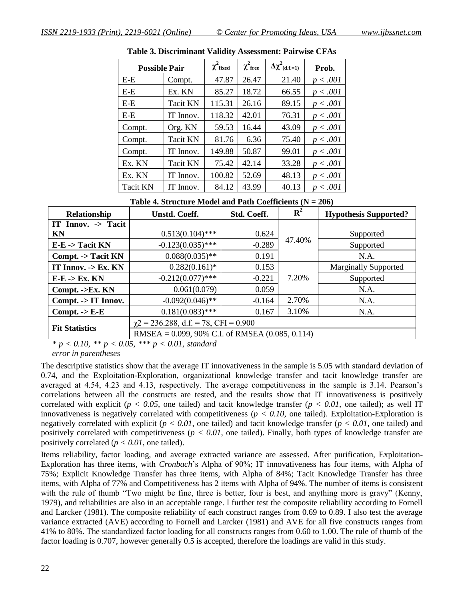| <b>Possible Pair</b> |                 | $\chi$ <sup>-</sup> fixed | $\mathcal{D}$<br>$\chi$ free | $\Delta \chi^2_{(d.f.=1)}$ | Prob.    |
|----------------------|-----------------|---------------------------|------------------------------|----------------------------|----------|
| $E-E$                | Compt.          | 47.87                     | 26.47                        | 21.40                      | p < .001 |
| $E-E$                | Ex. KN          | 85.27                     | 18.72                        | 66.55                      | p < .001 |
| $E-E$                | <b>Tacit KN</b> | 115.31                    | 26.16                        | 89.15                      | p < .001 |
| $E-E$                | IT Innov.       | 118.32                    | 42.01                        | 76.31                      | p < .001 |
| Compt.               | Org. KN         | 59.53                     | 16.44                        | 43.09                      | p < .001 |
| Compt.               | <b>Tacit KN</b> | 81.76                     | 6.36                         | 75.40                      | p < .001 |
| Compt.               | IT Innov.       | 149.88                    | 50.87                        | 99.01                      | p < .001 |
| Ex. KN               | Tacit KN        | 75.42                     | 42.14                        | 33.28                      | p < .001 |
| Ex. KN               | IT Innov.       | 100.82                    | 52.69                        | 48.13                      | p < .001 |
| <b>Tacit KN</b>      | IT Innov.       | 84.12                     | 43.99                        | 40.13                      | p < .001 |
|                      |                 |                           |                              |                            |          |

**Table 3. Discriminant Validity Assessment: Pairwise CFAs**

**Table 4. Structure Model and Path Coefficients (N = 206)**

| Relationship                   | <b>Unstd. Coeff.</b>                               | Std. Coeff. | $\mathbf{R}^2$ | <b>Hypothesis Supported?</b> |  |  |
|--------------------------------|----------------------------------------------------|-------------|----------------|------------------------------|--|--|
| IT Innov. -> Tacit             |                                                    |             |                |                              |  |  |
| KN                             | $0.513(0.104)$ ***                                 | 0.624       |                | Supported                    |  |  |
| $E-E \rightarrow Tacit KN$     | $-0.123(0.035)$ ***                                | $-0.289$    | 47.40%         | Supported                    |  |  |
| Compt. -> Tacit KN             | $0.088(0.035)$ **                                  | 0.191       |                | N.A.                         |  |  |
| IT Innov. -> Ex. KN            | $0.282(0.161)^*$                                   | 0.153       |                | <b>Marginally Supported</b>  |  |  |
| $E-E \rightarrow Ex. KN$       | $-0.212(0.077)$ ***                                | $-0.221$    | 7.20%          | Supported                    |  |  |
| Compt. ->Ex. KN                | 0.061(0.079)                                       | 0.059       |                | N.A.                         |  |  |
| Compt. $\rightarrow$ IT Innov. | $-0.092(0.046)$ **                                 | $-0.164$    | 2.70%          | N.A.                         |  |  |
| Compt. $\text{-} > E-E$        | $0.181(0.083)$ ***                                 | 0.167       | 3.10%          | N.A.                         |  |  |
| <b>Fit Statistics</b>          | $\chi$ 2 = 236.288, d.f. = 78, CFI = 0.900         |             |                |                              |  |  |
|                                | RMSEA = $0.099$ , 90% C.I. of RMSEA (0.085, 0.114) |             |                |                              |  |  |

*\* p < 0.10, \*\* p < 0.05, \*\*\* p < 0.01, standard* 

*error in parentheses*

The descriptive statistics show that the average IT innovativeness in the sample is 5.05 with standard deviation of 0.74, and the Exploitation-Exploration, organizational knowledge transfer and tacit knowledge transfer are averaged at 4.54, 4.23 and 4.13, respectively. The average competitiveness in the sample is 3.14. Pearson's correlations between all the constructs are tested, and the results show that IT innovativeness is positively correlated with explicit ( $p < 0.05$ , one tailed) and tacit knowledge transfer ( $p < 0.01$ , one tailed); as well IT innovativeness is negatively correlated with competitiveness ( $p < 0.10$ , one tailed). Exploitation-Exploration is negatively correlated with explicit (*p < 0.01*, one tailed) and tacit knowledge transfer (*p < 0.01*, one tailed) and positively correlated with competitiveness (*p < 0.01*, one tailed). Finally, both types of knowledge transfer are positively correlated (*p < 0.01*, one tailed).

Items reliability, factor loading, and average extracted variance are assessed. After purification, Exploitation-Exploration has three items, with *Cronbach*'s Alpha of 90%; IT innovativeness has four items, with Alpha of 75%; Explicit Knowledge Transfer has three items, with Alpha of 84%; Tacit Knowledge Transfer has three items, with Alpha of 77% and Competitiveness has 2 items with Alpha of 94%. The number of items is consistent with the rule of thumb "Two might be fine, three is better, four is best, and anything more is gravy" (Kenny, 1979), and reliabilities are also in an acceptable range. I further test the composite reliability according to Fornell and Larcker (1981). The composite reliability of each construct ranges from 0.69 to 0.89. I also test the average variance extracted (AVE) according to Fornell and Larcker (1981) and AVE for all five constructs ranges from 41% to 80%. The standardized factor loading for all constructs ranges from 0.60 to 1.00. The rule of thumb of the factor loading is 0.707, however generally 0.5 is accepted, therefore the loadings are valid in this study.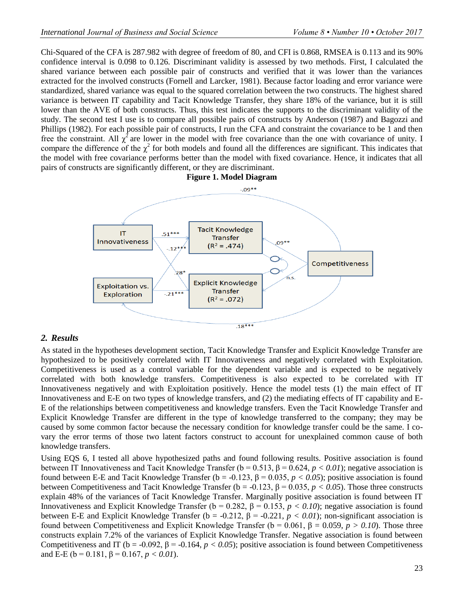Chi-Squared of the CFA is 287.982 with degree of freedom of 80, and CFI is 0.868, RMSEA is 0.113 and its 90% confidence interval is 0.098 to 0.126. Discriminant validity is assessed by two methods. First, I calculated the shared variance between each possible pair of constructs and verified that it was lower than the variances extracted for the involved constructs (Fornell and Larcker, 1981). Because factor loading and error variance were standardized, shared variance was equal to the squared correlation between the two constructs. The highest shared variance is between IT capability and Tacit Knowledge Transfer, they share 18% of the variance, but it is still lower than the AVE of both constructs. Thus, this test indicates the supports to the discriminant validity of the study. The second test I use is to compare all possible pairs of constructs by Anderson (1987) and Bagozzi and Phillips (1982). For each possible pair of constructs, I run the CFA and constraint the covariance to be 1 and then free the constraint. All  $\chi^2$  are lower in the model with free covariance than the one with covariance of unity. I compare the difference of the  $\chi^2$  for both models and found all the differences are significant. This indicates that the model with free covariance performs better than the model with fixed covariance. Hence, it indicates that all pairs of constructs are significantly different, or they are discriminant.

#### **Figure 1. Model Diagram**



### *2. Results*

As stated in the hypotheses development section, Tacit Knowledge Transfer and Explicit Knowledge Transfer are hypothesized to be positively correlated with IT Innovativeness and negatively correlated with Exploitation. Competitiveness is used as a control variable for the dependent variable and is expected to be negatively correlated with both knowledge transfers. Competitiveness is also expected to be correlated with IT Innovativeness negatively and with Exploitation positively. Hence the model tests (1) the main effect of IT Innovativeness and E-E on two types of knowledge transfers, and (2) the mediating effects of IT capability and E-E of the relationships between competitiveness and knowledge transfers. Even the Tacit Knowledge Transfer and Explicit Knowledge Transfer are different in the type of knowledge transferred to the company; they may be caused by some common factor because the necessary condition for knowledge transfer could be the same. I covary the error terms of those two latent factors construct to account for unexplained common cause of both knowledge transfers.

Using EQS 6, I tested all above hypothesized paths and found following results. Positive association is found between IT Innovativeness and Tacit Knowledge Transfer (b = 0.513, β = 0.624, *p < 0.01*); negative association is found between E-E and Tacit Knowledge Transfer (b = -0.123, β = 0.035, *p < 0.05*); positive association is found between Competitiveness and Tacit Knowledge Transfer (b = -0.123, β = 0.035, *p* < 0.05). Those three constructs explain 48% of the variances of Tacit Knowledge Transfer. Marginally positive association is found between IT Innovativeness and Explicit Knowledge Transfer (b = 0.282, β = 0.153, *p* < 0.10); negative association is found between E-E and Explicit Knowledge Transfer ( $b = -0.212$ ,  $\beta = -0.221$ ,  $p < 0.01$ ); non-significant association is found between Competitiveness and Explicit Knowledge Transfer (b = 0.061, β = 0.059, *p > 0.10*). Those three constructs explain 7.2% of the variances of Explicit Knowledge Transfer. Negative association is found between Competitiveness and IT ( $b = -0.092$ ,  $\beta = -0.164$ ,  $p < 0.05$ ); positive association is found between Competitiveness and E-E ( $b = 0.181$ ,  $\beta = 0.167$ ,  $p < 0.01$ ).